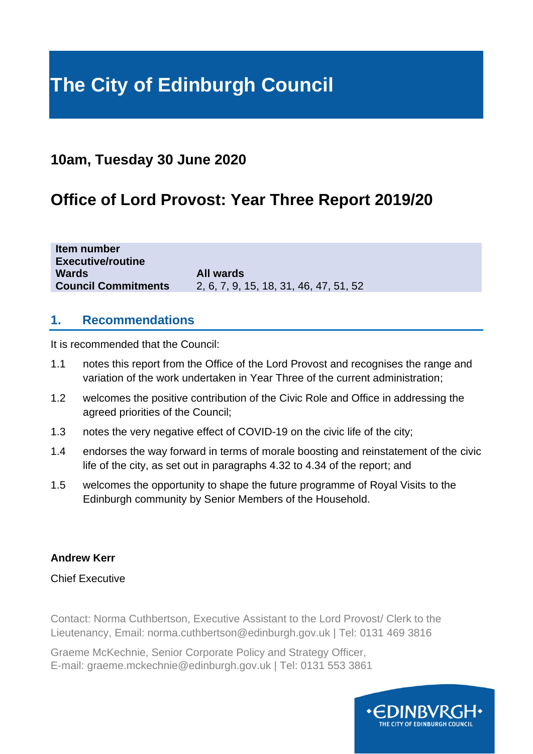# **The City of Edinburgh Council**

# **10am, Tuesday 30 June 2020**

# **Office of Lord Provost: Year Three Report 2019/20**

| Item number                |                                        |
|----------------------------|----------------------------------------|
| <b>Executive/routine</b>   |                                        |
| Wards                      | All wards                              |
| <b>Council Commitments</b> | 2, 6, 7, 9, 15, 18, 31, 46, 47, 51, 52 |

#### **1. Recommendations**

It is recommended that the Council:

- 1.1 notes this report from the Office of the Lord Provost and recognises the range and variation of the work undertaken in Year Three of the current administration;
- 1.2 welcomes the positive contribution of the Civic Role and Office in addressing the agreed priorities of the Council;
- 1.3 notes the very negative effect of COVID-19 on the civic life of the city;
- 1.4 endorses the way forward in terms of morale boosting and reinstatement of the civic life of the city, as set out in paragraphs 4.32 to 4.34 of the report; and
- 1.5 welcomes the opportunity to shape the future programme of Royal Visits to the Edinburgh community by Senior Members of the Household.

#### **Andrew Kerr**

#### Chief Executive

Contact: Norma Cuthbertson, Executive Assistant to the Lord Provost/ Clerk to the Lieutenancy, Email: norma.cuthbertson@edinburgh.gov.uk | Tel: 0131 469 3816

Graeme McKechnie, Senior Corporate Policy and Strategy Officer, E-mail: graeme.mckechnie@edinburgh.gov.uk | Tel: 0131 553 3861

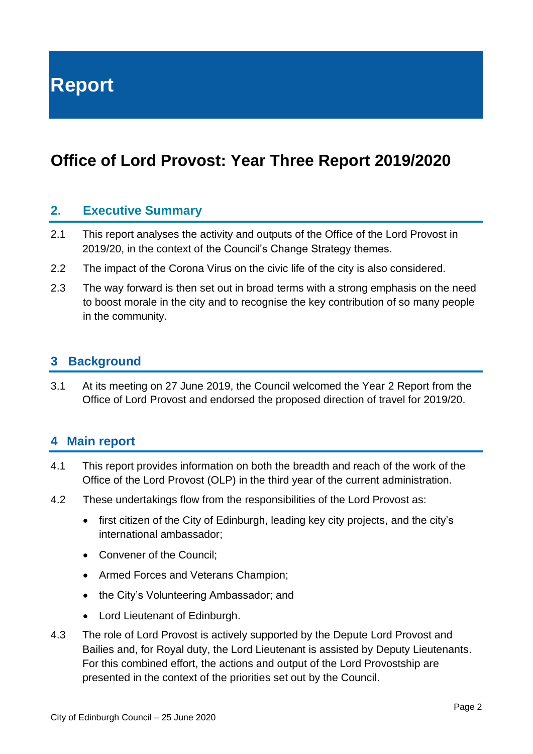**Report**

# **Office of Lord Provost: Year Three Report 2019/2020**

#### **2. Executive Summary**

- 2.1 This report analyses the activity and outputs of the Office of the Lord Provost in 2019/20, in the context of the Council's Change Strategy themes.
- 2.2 The impact of the Corona Virus on the civic life of the city is also considered.
- 2.3 The way forward is then set out in broad terms with a strong emphasis on the need to boost morale in the city and to recognise the key contribution of so many people in the community.

#### **3 Background**

3.1 At its meeting on 27 June 2019, the Council welcomed the Year 2 Report from the Office of Lord Provost and endorsed the proposed direction of travel for 2019/20.

#### **4 Main report**

- 4.1 This report provides information on both the breadth and reach of the work of the Office of the Lord Provost (OLP) in the third year of the current administration.
- 4.2 These undertakings flow from the responsibilities of the Lord Provost as:
	- first citizen of the City of Edinburgh, leading key city projects, and the city's international ambassador;
	- Convener of the Council;
	- Armed Forces and Veterans Champion;
	- the City's Volunteering Ambassador; and
	- Lord Lieutenant of Edinburgh.
- 4.3 The role of Lord Provost is actively supported by the Depute Lord Provost and Bailies and, for Royal duty, the Lord Lieutenant is assisted by Deputy Lieutenants. For this combined effort, the actions and output of the Lord Provostship are presented in the context of the priorities set out by the Council.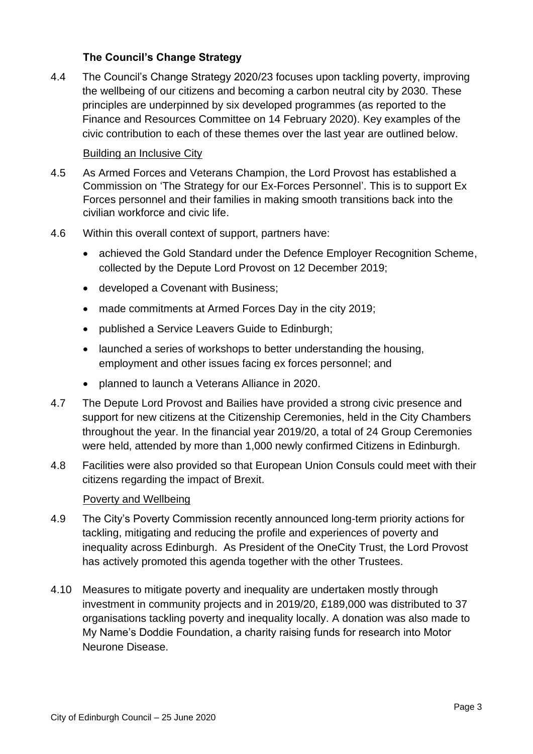#### **The Council's Change Strategy**

4.4 The Council's Change Strategy 2020/23 focuses upon tackling poverty, improving the wellbeing of our citizens and becoming a carbon neutral city by 2030. These principles are underpinned by six developed programmes (as reported to the Finance and Resources Committee on 14 February 2020). Key examples of the civic contribution to each of these themes over the last year are outlined below.

#### Building an Inclusive City

- 4.5 As Armed Forces and Veterans Champion, the Lord Provost has established a Commission on 'The Strategy for our Ex-Forces Personnel'. This is to support Ex Forces personnel and their families in making smooth transitions back into the civilian workforce and civic life.
- 4.6 Within this overall context of support, partners have:
	- achieved the Gold Standard under the Defence Employer Recognition Scheme, collected by the Depute Lord Provost on 12 December 2019;
	- developed a Covenant with Business;
	- made commitments at Armed Forces Day in the city 2019;
	- published a Service Leavers Guide to Edinburgh;
	- launched a series of workshops to better understanding the housing, employment and other issues facing ex forces personnel; and
	- planned to launch a Veterans Alliance in 2020.
- 4.7 The Depute Lord Provost and Bailies have provided a strong civic presence and support for new citizens at the Citizenship Ceremonies, held in the City Chambers throughout the year. In the financial year 2019/20, a total of 24 Group Ceremonies were held, attended by more than 1,000 newly confirmed Citizens in Edinburgh.
- 4.8 Facilities were also provided so that European Union Consuls could meet with their citizens regarding the impact of Brexit.

#### Poverty and Wellbeing

- 4.9 The City's Poverty Commission recently announced long-term priority actions for tackling, mitigating and reducing the profile and experiences of poverty and inequality across Edinburgh. As President of the OneCity Trust, the Lord Provost has actively promoted this agenda together with the other Trustees.
- 4.10 Measures to mitigate poverty and inequality are undertaken mostly through investment in community projects and in 2019/20, £189,000 was distributed to 37 organisations tackling poverty and inequality locally. A donation was also made to My Name's Doddie Foundation, a charity raising funds for research into Motor Neurone Disease.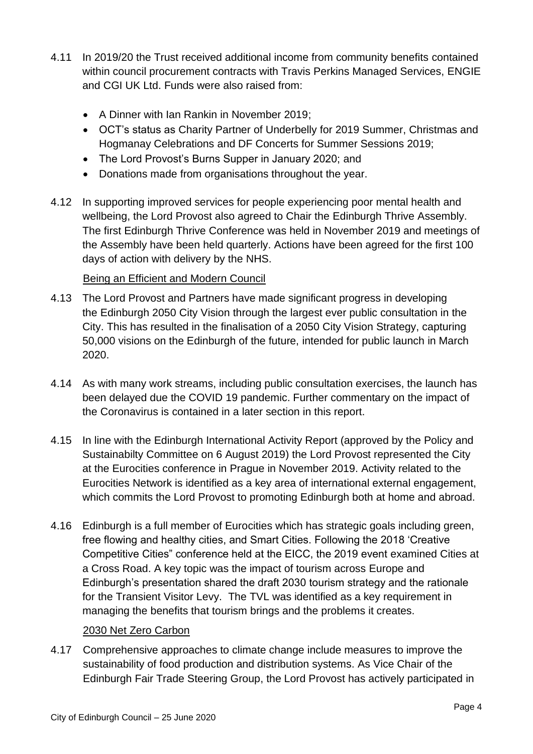- 4.11 In 2019/20 the Trust received additional income from community benefits contained within council procurement contracts with Travis Perkins Managed Services, ENGIE and CGI UK Ltd. Funds were also raised from:
	- A Dinner with Ian Rankin in November 2019;
	- OCT's status as Charity Partner of Underbelly for 2019 Summer, Christmas and Hogmanay Celebrations and DF Concerts for Summer Sessions 2019;
	- The Lord Provost's Burns Supper in January 2020; and
	- Donations made from organisations throughout the year.
- 4.12 In supporting improved services for people experiencing poor mental health and wellbeing, the Lord Provost also agreed to Chair the Edinburgh Thrive Assembly. The first Edinburgh Thrive Conference was held in November 2019 and meetings of the Assembly have been held quarterly. Actions have been agreed for the first 100 days of action with delivery by the NHS.

#### Being an Efficient and Modern Council

- 4.13 The Lord Provost and Partners have made significant progress in developing the Edinburgh 2050 City Vision through the largest ever public consultation in the City. This has resulted in the finalisation of a 2050 City Vision Strategy, capturing 50,000 visions on the Edinburgh of the future, intended for public launch in March 2020.
- 4.14 As with many work streams, including public consultation exercises, the launch has been delayed due the COVID 19 pandemic. Further commentary on the impact of the Coronavirus is contained in a later section in this report.
- 4.15 In line with the Edinburgh International Activity Report (approved by the Policy and Sustainabilty Committee on 6 August 2019) the Lord Provost represented the City at the Eurocities conference in Prague in November 2019. Activity related to the Eurocities Network is identified as a key area of international external engagement, which commits the Lord Provost to promoting Edinburgh both at home and abroad.
- 4.16 Edinburgh is a full member of Eurocities which has strategic goals including green, free flowing and healthy cities, and Smart Cities. Following the 2018 'Creative Competitive Cities" conference held at the EICC, the 2019 event examined Cities at a Cross Road. A key topic was the impact of tourism across Europe and Edinburgh's presentation shared the draft 2030 tourism strategy and the rationale for the Transient Visitor Levy. The TVL was identified as a key requirement in managing the benefits that tourism brings and the problems it creates.

#### 2030 Net Zero Carbon

4.17 Comprehensive approaches to climate change include measures to improve the sustainability of food production and distribution systems. As Vice Chair of the Edinburgh Fair Trade Steering Group, the Lord Provost has actively participated in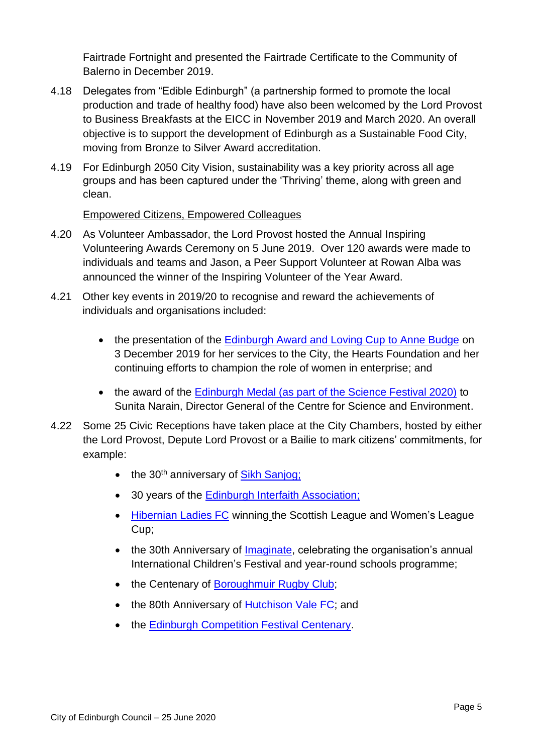Fairtrade Fortnight and presented the Fairtrade Certificate to the Community of Balerno in December 2019.

- 4.18 Delegates from "Edible Edinburgh" (a partnership formed to promote the local production and trade of healthy food) have also been welcomed by the Lord Provost to Business Breakfasts at the EICC in November 2019 and March 2020. An overall objective is to support the development of Edinburgh as a Sustainable Food City, moving from Bronze to Silver Award accreditation.
- 4.19 For Edinburgh 2050 City Vision, sustainability was a key priority across all age groups and has been captured under the 'Thriving' theme, along with green and clean.

#### Empowered Citizens, Empowered Colleagues

- 4.20 As Volunteer Ambassador, the Lord Provost hosted the Annual Inspiring Volunteering Awards Ceremony on 5 June 2019. Over 120 awards were made to individuals and teams and Jason, a Peer Support Volunteer at Rowan Alba was announced the winner of the Inspiring Volunteer of the Year Award.
- 4.21 Other key events in 2019/20 to recognise and reward the achievements of individuals and organisations included:
	- the presentation of the [Edinburgh Award and Loving Cup](https://www.bbc.co.uk/news/uk-scotland-edinburgh-east-fife-48887774) to Anne Budge on 3 December 2019 for her services to the City, the Hearts Foundation and her continuing efforts to champion the role of women in enterprise; and
	- the award of the [Edinburgh Medal \(as part of the Science Festival 2020\)](https://www.sciencefestival.co.uk/edinburgh-medal) to Sunita Narain, Director General of the Centre for Science and Environment.
- 4.22 Some 25 Civic Receptions have taken place at the City Chambers, hosted by either the Lord Provost, Depute Lord Provost or a Bailie to mark citizens' commitments, for example:
	- $\bullet$  the 30<sup>th</sup> anniversary of [Sikh Sanjog;](http://www.sikhsanjog.com/)
	- 30 years of the [Edinburgh Interfaith Association;](https://www.edinburghinterfaith.com/)
	- [Hibernian Ladies FC](http://www.hibernianfc.co.uk/news/ladies) winning the Scottish League and Women's League Cup;
	- the 30th Anniversary of [Imaginate,](https://www.imaginate.org.uk/) celebrating the organisation's annual International Children's Festival and year-round schools programme;
	- the Centenary of [Boroughmuir Rugby Club;](http://www.boroughmuirsports.co.uk/)
	- the 80th Anniversary of [Hutchison Vale FC;](https://www.hutchisonvale.com/) and
	- the [Edinburgh Competition Festival Centenary.](http://www.ecfest.org.uk/?LMCL=vCPibB)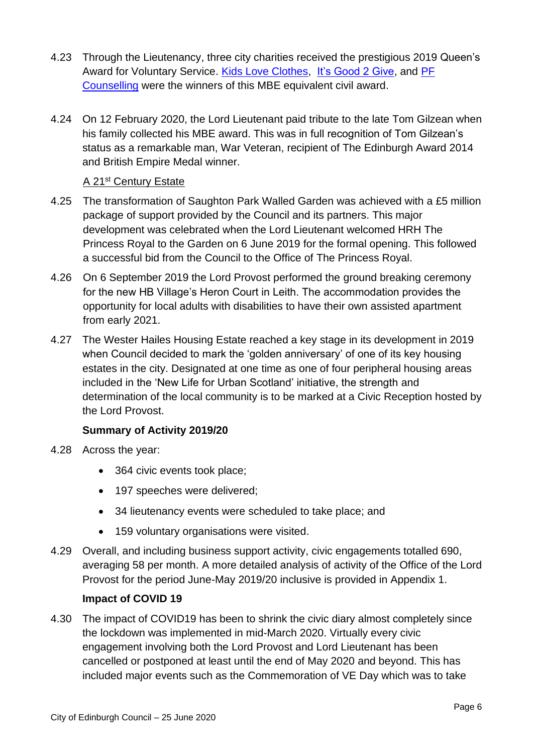- 4.23 Through the Lieutenancy, three city charities received the prestigious 2019 Queen's Award for Voluntary Service. [Kids Love Clothes,](https://www.kidsloveclothes.co.uk/) [It's Good 2 Give,](http://www.itsgood2give.co.uk/) and PF [Counselling](https://www.pfcounselling.org.uk/) were the winners of this MBE equivalent civil award.
- 4.24 On 12 February 2020, the Lord Lieutenant paid tribute to the late Tom Gilzean when his family collected his MBE award. This was in full recognition of Tom Gilzean's status as a remarkable man, War Veteran, recipient of The Edinburgh Award 2014 and British Empire Medal winner.

#### A 21st Century Estate

- 4.25 The transformation of Saughton Park Walled Garden was achieved with a £5 million package of support provided by the Council and its partners. This major development was celebrated when the Lord Lieutenant welcomed HRH The Princess Royal to the Garden on 6 June 2019 for the formal opening. This followed a successful bid from the Council to the Office of The Princess Royal.
- 4.26 On 6 September 2019 the Lord Provost performed the ground breaking ceremony for the new HB Village's Heron Court in Leith. The accommodation provides the opportunity for local adults with disabilities to have their own assisted apartment from early 2021.
- 4.27 The Wester Hailes Housing Estate reached a key stage in its development in 2019 when Council decided to mark the 'golden anniversary' of one of its key housing estates in the city. Designated at one time as one of four peripheral housing areas included in the 'New Life for Urban Scotland' initiative, the strength and determination of the local community is to be marked at a Civic Reception hosted by the Lord Provost.

#### **Summary of Activity 2019/20**

- 4.28 Across the year:
	- 364 civic events took place:
	- 197 speeches were delivered;
	- 34 lieutenancy events were scheduled to take place; and
	- 159 voluntary organisations were visited.
- 4.29 Overall, and including business support activity, civic engagements totalled 690, averaging 58 per month. A more detailed analysis of activity of the Office of the Lord Provost for the period June-May 2019/20 inclusive is provided in Appendix 1.

#### **Impact of COVID 19**

4.30 The impact of COVID19 has been to shrink the civic diary almost completely since the lockdown was implemented in mid-March 2020. Virtually every civic engagement involving both the Lord Provost and Lord Lieutenant has been cancelled or postponed at least until the end of May 2020 and beyond. This has included major events such as the Commemoration of VE Day which was to take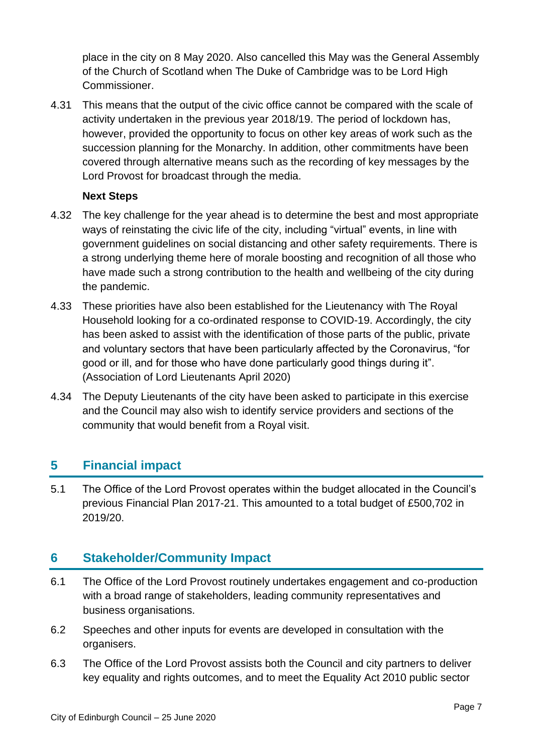place in the city on 8 May 2020. Also cancelled this May was the General Assembly of the Church of Scotland when The Duke of Cambridge was to be Lord High Commissioner.

4.31 This means that the output of the civic office cannot be compared with the scale of activity undertaken in the previous year 2018/19. The period of lockdown has, however, provided the opportunity to focus on other key areas of work such as the succession planning for the Monarchy. In addition, other commitments have been covered through alternative means such as the recording of key messages by the Lord Provost for broadcast through the media.

#### **Next Steps**

- 4.32 The key challenge for the year ahead is to determine the best and most appropriate ways of reinstating the civic life of the city, including "virtual" events, in line with government guidelines on social distancing and other safety requirements. There is a strong underlying theme here of morale boosting and recognition of all those who have made such a strong contribution to the health and wellbeing of the city during the pandemic.
- 4.33 These priorities have also been established for the Lieutenancy with The Royal Household looking for a co-ordinated response to COVID-19. Accordingly, the city has been asked to assist with the identification of those parts of the public, private and voluntary sectors that have been particularly affected by the Coronavirus, "for good or ill, and for those who have done particularly good things during it". (Association of Lord Lieutenants April 2020)
- 4.34 The Deputy Lieutenants of the city have been asked to participate in this exercise and the Council may also wish to identify service providers and sections of the community that would benefit from a Royal visit.

### **5 Financial impact**

5.1 The Office of the Lord Provost operates within the budget allocated in the Council's previous Financial Plan 2017-21. This amounted to a total budget of £500,702 in 2019/20.

# **6 Stakeholder/Community Impact**

- 6.1 The Office of the Lord Provost routinely undertakes engagement and co-production with a broad range of stakeholders, leading community representatives and business organisations.
- 6.2 Speeches and other inputs for events are developed in consultation with the organisers.
- 6.3 The Office of the Lord Provost assists both the Council and city partners to deliver key equality and rights outcomes, and to meet the Equality Act 2010 public sector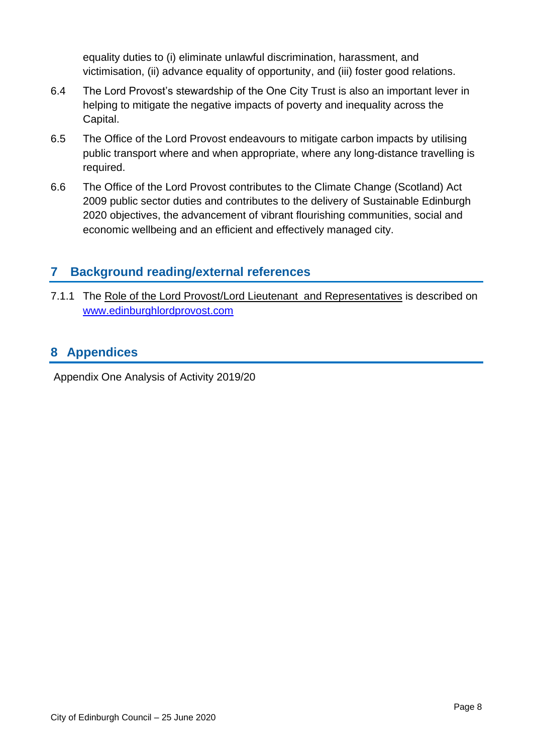equality duties to (i) eliminate unlawful discrimination, harassment, and victimisation, (ii) advance equality of opportunity, and (iii) foster good relations.

- 6.4 The Lord Provost's stewardship of the One City Trust is also an important lever in helping to mitigate the negative impacts of poverty and inequality across the Capital.
- 6.5 The Office of the Lord Provost endeavours to mitigate carbon impacts by utilising public transport where and when appropriate, where any long-distance travelling is required.
- 6.6 The Office of the Lord Provost contributes to the Climate Change (Scotland) Act 2009 public sector duties and contributes to the delivery of Sustainable Edinburgh 2020 objectives, the advancement of vibrant flourishing communities, social and economic wellbeing and an efficient and effectively managed city.

## **7 Background reading/external references**

7.1.1 The [Role of the Lord Provost/](http://www.edinburgh.gov.uk/info/20004/council_and_democracy/641/lord_provost_of_the_city_of_edinburgh/2)Lord Lieutenant and Representatives is described on [www.edinburghlordprovost.com](http://www.edinburghlordprovost.com/) 

## **8 Appendices**

Appendix One Analysis of Activity 2019/20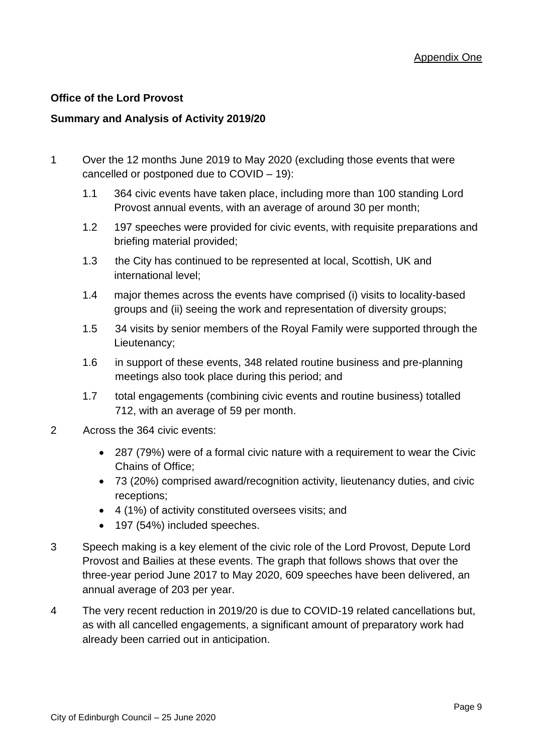#### **Office of the Lord Provost**

#### **Summary and Analysis of Activity 2019/20**

- 1 Over the 12 months June 2019 to May 2020 (excluding those events that were cancelled or postponed due to COVID – 19):
	- 1.1 364 civic events have taken place, including more than 100 standing Lord Provost annual events, with an average of around 30 per month;
	- 1.2 197 speeches were provided for civic events, with requisite preparations and briefing material provided;
	- 1.3 the City has continued to be represented at local, Scottish, UK and international level;
	- 1.4 major themes across the events have comprised (i) visits to locality-based groups and (ii) seeing the work and representation of diversity groups;
	- 1.5 34 visits by senior members of the Royal Family were supported through the Lieutenancy;
	- 1.6 in support of these events, 348 related routine business and pre-planning meetings also took place during this period; and
	- 1.7 total engagements (combining civic events and routine business) totalled 712, with an average of 59 per month.
- 2 Across the 364 civic events:
	- 287 (79%) were of a formal civic nature with a requirement to wear the Civic Chains of Office;
	- 73 (20%) comprised award/recognition activity, lieutenancy duties, and civic receptions;
	- 4 (1%) of activity constituted oversees visits; and
	- 197 (54%) included speeches.
- 3 Speech making is a key element of the civic role of the Lord Provost, Depute Lord Provost and Bailies at these events. The graph that follows shows that over the three-year period June 2017 to May 2020, 609 speeches have been delivered, an annual average of 203 per year.
- 4 The very recent reduction in 2019/20 is due to COVID-19 related cancellations but, as with all cancelled engagements, a significant amount of preparatory work had already been carried out in anticipation.